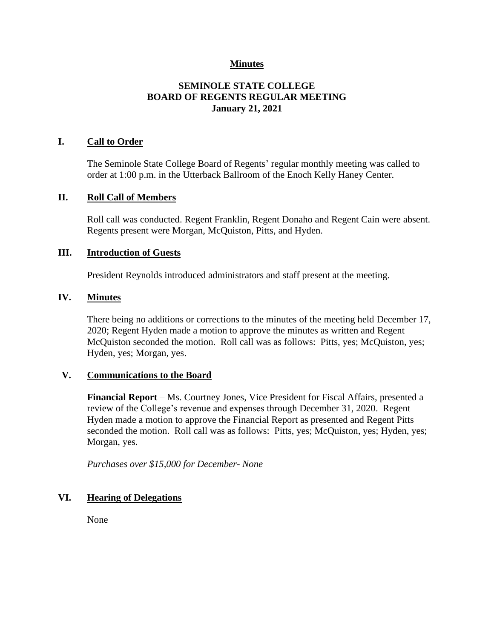## **Minutes**

# **SEMINOLE STATE COLLEGE BOARD OF REGENTS REGULAR MEETING January 21, 2021**

### **I. Call to Order**

The Seminole State College Board of Regents' regular monthly meeting was called to order at 1:00 p.m. in the Utterback Ballroom of the Enoch Kelly Haney Center.

#### **II. Roll Call of Members**

Roll call was conducted. Regent Franklin, Regent Donaho and Regent Cain were absent. Regents present were Morgan, McQuiston, Pitts, and Hyden.

## **III. Introduction of Guests**

President Reynolds introduced administrators and staff present at the meeting.

#### **IV. Minutes**

There being no additions or corrections to the minutes of the meeting held December 17, 2020; Regent Hyden made a motion to approve the minutes as written and Regent McQuiston seconded the motion. Roll call was as follows: Pitts, yes; McQuiston, yes; Hyden, yes; Morgan, yes.

#### **V. Communications to the Board**

**Financial Report** – Ms. Courtney Jones, Vice President for Fiscal Affairs, presented a review of the College's revenue and expenses through December 31, 2020. Regent Hyden made a motion to approve the Financial Report as presented and Regent Pitts seconded the motion. Roll call was as follows: Pitts, yes; McQuiston, yes; Hyden, yes; Morgan, yes.

*Purchases over \$15,000 for December- None*

## **VI. Hearing of Delegations**

None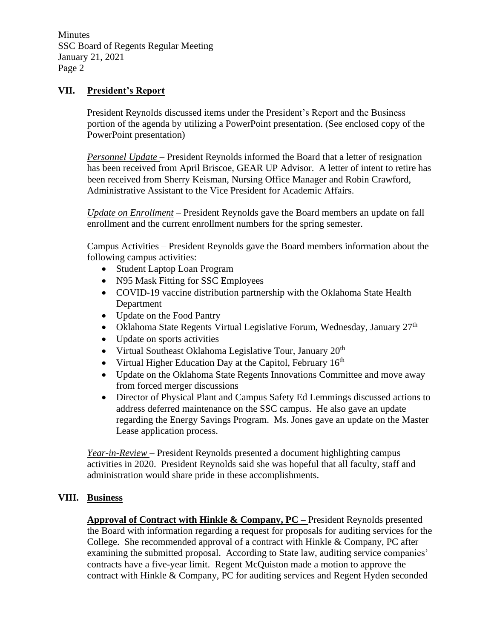Minutes SSC Board of Regents Regular Meeting January 21, 2021 Page 2

### **VII. President's Report**

President Reynolds discussed items under the President's Report and the Business portion of the agenda by utilizing a PowerPoint presentation. (See enclosed copy of the PowerPoint presentation)

*Personnel Update* – President Reynolds informed the Board that a letter of resignation has been received from April Briscoe, GEAR UP Advisor. A letter of intent to retire has been received from Sherry Keisman, Nursing Office Manager and Robin Crawford, Administrative Assistant to the Vice President for Academic Affairs.

*Update on Enrollment* – President Reynolds gave the Board members an update on fall enrollment and the current enrollment numbers for the spring semester.

Campus Activities – President Reynolds gave the Board members information about the following campus activities:

- Student Laptop Loan Program
- N95 Mask Fitting for SSC Employees
- COVID-19 vaccine distribution partnership with the Oklahoma State Health Department
- Update on the Food Pantry
- Oklahoma State Regents Virtual Legislative Forum, Wednesday, January  $27<sup>th</sup>$
- Update on sports activities
- Virtual Southeast Oklahoma Legislative Tour, January 20<sup>th</sup>
- Virtual Higher Education Day at the Capitol, February  $16<sup>th</sup>$
- Update on the Oklahoma State Regents Innovations Committee and move away from forced merger discussions
- Director of Physical Plant and Campus Safety Ed Lemmings discussed actions to address deferred maintenance on the SSC campus. He also gave an update regarding the Energy Savings Program. Ms. Jones gave an update on the Master Lease application process.

*Year-in-Review* – President Reynolds presented a document highlighting campus activities in 2020. President Reynolds said she was hopeful that all faculty, staff and administration would share pride in these accomplishments.

# **VIII. Business**

**Approval of Contract with Hinkle & Company, PC –** President Reynolds presented the Board with information regarding a request for proposals for auditing services for the College. She recommended approval of a contract with Hinkle & Company, PC after examining the submitted proposal. According to State law, auditing service companies' contracts have a five-year limit. Regent McQuiston made a motion to approve the contract with Hinkle & Company, PC for auditing services and Regent Hyden seconded